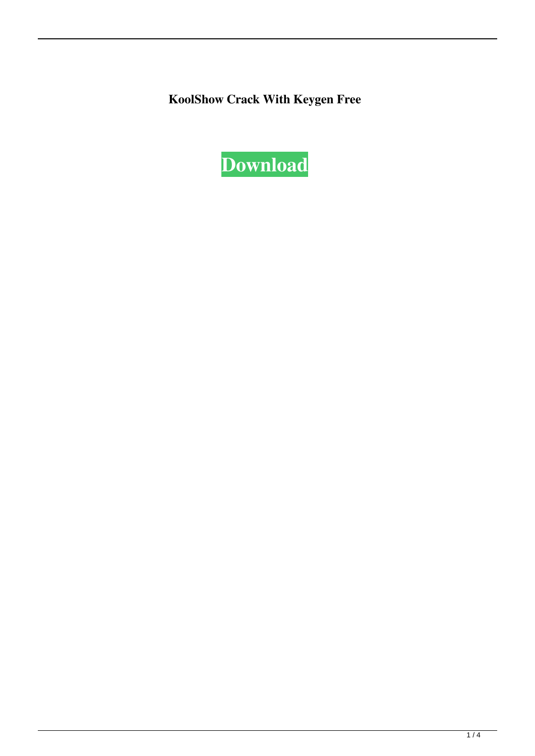**KoolShow Crack With Keygen Free**

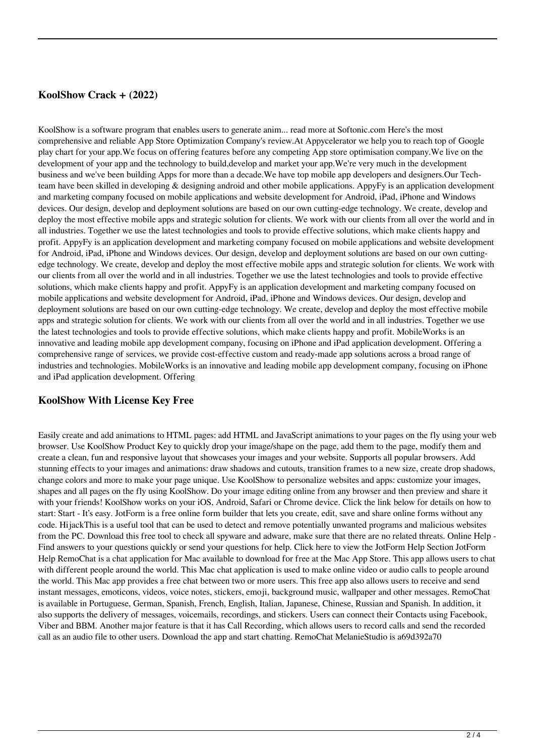## **KoolShow Crack + (2022)**

KoolShow is a software program that enables users to generate anim... read more at Softonic.com Here's the most comprehensive and reliable App Store Optimization Company's review.At Appycelerator we help you to reach top of Google play chart for your app.We focus on offering features before any competing App store optimisation company.We live on the development of your app and the technology to build,develop and market your app.We're very much in the development business and we've been building Apps for more than a decade.We have top mobile app developers and designers.Our Techteam have been skilled in developing & designing android and other mobile applications. AppyFy is an application development and marketing company focused on mobile applications and website development for Android, iPad, iPhone and Windows devices. Our design, develop and deployment solutions are based on our own cutting-edge technology. We create, develop and deploy the most effective mobile apps and strategic solution for clients. We work with our clients from all over the world and in all industries. Together we use the latest technologies and tools to provide effective solutions, which make clients happy and profit. AppyFy is an application development and marketing company focused on mobile applications and website development for Android, iPad, iPhone and Windows devices. Our design, develop and deployment solutions are based on our own cuttingedge technology. We create, develop and deploy the most effective mobile apps and strategic solution for clients. We work with our clients from all over the world and in all industries. Together we use the latest technologies and tools to provide effective solutions, which make clients happy and profit. AppyFy is an application development and marketing company focused on mobile applications and website development for Android, iPad, iPhone and Windows devices. Our design, develop and deployment solutions are based on our own cutting-edge technology. We create, develop and deploy the most effective mobile apps and strategic solution for clients. We work with our clients from all over the world and in all industries. Together we use the latest technologies and tools to provide effective solutions, which make clients happy and profit. MobileWorks is an innovative and leading mobile app development company, focusing on iPhone and iPad application development. Offering a comprehensive range of services, we provide cost-effective custom and ready-made app solutions across a broad range of industries and technologies. MobileWorks is an innovative and leading mobile app development company, focusing on iPhone and iPad application development. Offering

### **KoolShow With License Key Free**

Easily create and add animations to HTML pages: add HTML and JavaScript animations to your pages on the fly using your web browser. Use KoolShow Product Key to quickly drop your image/shape on the page, add them to the page, modify them and create a clean, fun and responsive layout that showcases your images and your website. Supports all popular browsers. Add stunning effects to your images and animations: draw shadows and cutouts, transition frames to a new size, create drop shadows, change colors and more to make your page unique. Use KoolShow to personalize websites and apps: customize your images, shapes and all pages on the fly using KoolShow. Do your image editing online from any browser and then preview and share it with your friends! KoolShow works on your iOS, Android, Safari or Chrome device. Click the link below for details on how to start: Start - It's easy. JotForm is a free online form builder that lets you create, edit, save and share online forms without any code. HijackThis is a useful tool that can be used to detect and remove potentially unwanted programs and malicious websites from the PC. Download this free tool to check all spyware and adware, make sure that there are no related threats. Online Help - Find answers to your questions quickly or send your questions for help. Click here to view the JotForm Help Section JotForm Help RemoChat is a chat application for Mac available to download for free at the Mac App Store. This app allows users to chat with different people around the world. This Mac chat application is used to make online video or audio calls to people around the world. This Mac app provides a free chat between two or more users. This free app also allows users to receive and send instant messages, emoticons, videos, voice notes, stickers, emoji, background music, wallpaper and other messages. RemoChat is available in Portuguese, German, Spanish, French, English, Italian, Japanese, Chinese, Russian and Spanish. In addition, it also supports the delivery of messages, voicemails, recordings, and stickers. Users can connect their Contacts using Facebook, Viber and BBM. Another major feature is that it has Call Recording, which allows users to record calls and send the recorded call as an audio file to other users. Download the app and start chatting. RemoChat MelanieStudio is a69d392a70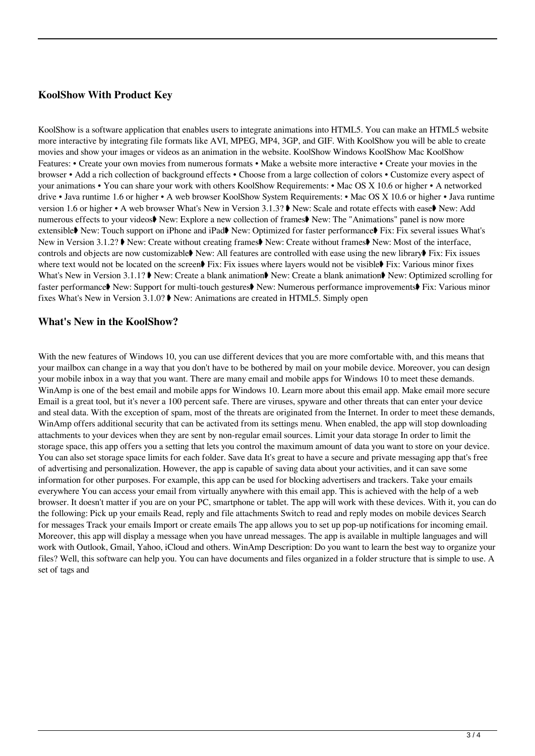# **KoolShow With Product Key**

KoolShow is a software application that enables users to integrate animations into HTML5. You can make an HTML5 website more interactive by integrating file formats like AVI, MPEG, MP4, 3GP, and GIF. With KoolShow you will be able to create movies and show your images or videos as an animation in the website. KoolShow Windows KoolShow Mac KoolShow Features: • Create your own movies from numerous formats • Make a website more interactive • Create your movies in the browser • Add a rich collection of background effects • Choose from a large collection of colors • Customize every aspect of your animations • You can share your work with others KoolShow Requirements: • Mac OS X 10.6 or higher • A networked drive • Java runtime 1.6 or higher • A web browser KoolShow System Requirements: • Mac OS X 10.6 or higher • Java runtime version 1.6 or higher • A web browser What's New in Version 3.1.3? ➧ New: Scale and rotate effects with ease➧ New: Add numerous effects to your videos➧ New: Explore a new collection of frames➧ New: The "Animations" panel is now more extensible➧ New: Touch support on iPhone and iPad➧ New: Optimized for faster performance➧ Fix: Fix several issues What's New in Version 3.1.2? ♦ New: Create without creating frames♦ New: Create without frames♦ New: Most of the interface, controls and objects are now customizable➧ New: All features are controlled with ease using the new library➧ Fix: Fix issues where text would not be located on the screen♦ Fix: Fix issues where layers would not be visible♦ Fix: Various minor fixes What's New in Version 3.1.1? ➧ New: Create a blank animation➧ New: Create a blank animation➧ New: Optimized scrolling for faster performance➧ New: Support for multi-touch gestures➧ New: Numerous performance improvements➧ Fix: Various minor fixes What's New in Version 3.1.0? ➧ New: Animations are created in HTML5. Simply open

### **What's New in the KoolShow?**

With the new features of Windows 10, you can use different devices that you are more comfortable with, and this means that your mailbox can change in a way that you don't have to be bothered by mail on your mobile device. Moreover, you can design your mobile inbox in a way that you want. There are many email and mobile apps for Windows 10 to meet these demands. WinAmp is one of the best email and mobile apps for Windows 10. Learn more about this email app. Make email more secure Email is a great tool, but it's never a 100 percent safe. There are viruses, spyware and other threats that can enter your device and steal data. With the exception of spam, most of the threats are originated from the Internet. In order to meet these demands, WinAmp offers additional security that can be activated from its settings menu. When enabled, the app will stop downloading attachments to your devices when they are sent by non-regular email sources. Limit your data storage In order to limit the storage space, this app offers you a setting that lets you control the maximum amount of data you want to store on your device. You can also set storage space limits for each folder. Save data It's great to have a secure and private messaging app that's free of advertising and personalization. However, the app is capable of saving data about your activities, and it can save some information for other purposes. For example, this app can be used for blocking advertisers and trackers. Take your emails everywhere You can access your email from virtually anywhere with this email app. This is achieved with the help of a web browser. It doesn't matter if you are on your PC, smartphone or tablet. The app will work with these devices. With it, you can do the following: Pick up your emails Read, reply and file attachments Switch to read and reply modes on mobile devices Search for messages Track your emails Import or create emails The app allows you to set up pop-up notifications for incoming email. Moreover, this app will display a message when you have unread messages. The app is available in multiple languages and will work with Outlook, Gmail, Yahoo, iCloud and others. WinAmp Description: Do you want to learn the best way to organize your files? Well, this software can help you. You can have documents and files organized in a folder structure that is simple to use. A set of tags and